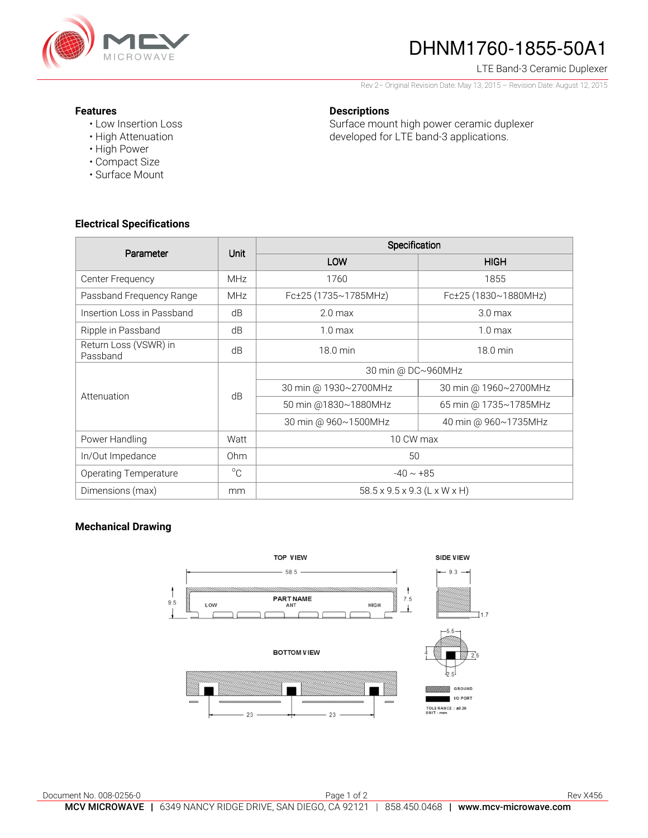

# DHNM1760-1855-50A1

LTE Band-3 Ceramic Duplexer

Rev 2– Original Revision Date: May 13, 2015 – Revision Date: August 12, 2015

#### **Features**

- Low Insertion Loss
- High Attenuation
- High Power
- Compact Size
- Surface Mount

### **Descriptions**

Surface mount high power ceramic duplexer developed for LTE band-3 applications.

## **Electrical Specifications**

| Parameter                         | Unit            | Specification                            |                       |
|-----------------------------------|-----------------|------------------------------------------|-----------------------|
|                                   |                 | LOW                                      | <b>HIGH</b>           |
| Center Frequency                  | <b>MHz</b>      | 1760                                     | 1855                  |
| Passband Frequency Range          | <b>MHz</b>      | Fc±25 (1735~1785MHz)                     | Fc±25 (1830~1880MHz)  |
| Insertion Loss in Passband        | dB              | 2.0 <sub>max</sub>                       | 3.0 <sub>max</sub>    |
| Ripple in Passband                | dB              | 1.0 <sub>max</sub>                       | 1.0 <sub>max</sub>    |
| Return Loss (VSWR) in<br>Passband | dB              | 18.0 min                                 | 18.0 min              |
| Attenuation                       | dB              | 30 min @ DC~960MHz                       |                       |
|                                   |                 | 30 min @ 1930~2700MHz                    | 30 min @ 1960~2700MHz |
|                                   |                 | 50 min @1830~1880MHz                     | 65 min @ 1735~1785MHz |
|                                   |                 | 30 min @ 960~1500MHz                     | 40 min @ 960~1735MHz  |
| Power Handling                    | Watt            | 10 CW max                                |                       |
| In/Out Impedance                  | 0 <sub>hm</sub> | 50                                       |                       |
| <b>Operating Temperature</b>      | $^{\circ}C$     | $-40 \sim +85$                           |                       |
| Dimensions (max)                  | mm              | $58.5 \times 9.5 \times 9.3$ (L x W x H) |                       |

#### **Mechanical Drawing**